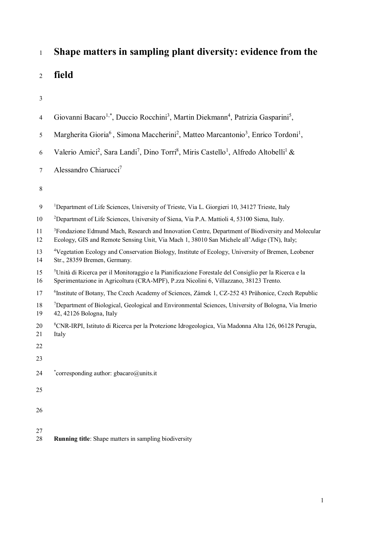## <sup>1</sup> **Shape matters in sampling plant diversity: evidence from the**

<sup>2</sup> **field**

3

| 4              | Giovanni Bacaro <sup>1,*</sup> , Duccio Rocchini <sup>3</sup> , Martin Diekmann <sup>4</sup> , Patrizia Gasparini <sup>5</sup> ,                                                                            |
|----------------|-------------------------------------------------------------------------------------------------------------------------------------------------------------------------------------------------------------|
| $\mathfrak{S}$ | Margherita Gioria <sup>6</sup> , Simona Maccherini <sup>2</sup> , Matteo Marcantonio <sup>3</sup> , Enrico Tordoni <sup>1</sup> ,                                                                           |
| 6              | Valerio Amici <sup>2</sup> , Sara Landi <sup>7</sup> , Dino Torri <sup>8</sup> , Miris Castello <sup>1</sup> , Alfredo Altobelli <sup>1</sup> &                                                             |
| 7              | Alessandro Chiarucci7                                                                                                                                                                                       |
| $8\,$          |                                                                                                                                                                                                             |
| 9              | <sup>1</sup> Department of Life Sciences, University of Trieste, Via L. Giorgieri 10, 34127 Trieste, Italy                                                                                                  |
| 10             | <sup>2</sup> Department of Life Sciences, University of Siena, Via P.A. Mattioli 4, 53100 Siena, Italy.                                                                                                     |
| 11<br>12       | <sup>3</sup> Fondazione Edmund Mach, Research and Innovation Centre, Department of Biodiversity and Molecular<br>Ecology, GIS and Remote Sensing Unit, Via Mach 1, 38010 San Michele all'Adige (TN), Italy; |
| 13<br>14       | <sup>4</sup> Vegetation Ecology and Conservation Biology, Institute of Ecology, University of Bremen, Leobener<br>Str., 28359 Bremen, Germany.                                                              |
| 15<br>16       | <sup>5</sup> Unità di Ricerca per il Monitoraggio e la Pianificazione Forestale del Consiglio per la Ricerca e la<br>Sperimentazione in Agricoltura (CRA-MPF), P.zza Nicolini 6, Villazzano, 38123 Trento.  |
| 17             | <sup>6</sup> Institute of Botany, The Czech Academy of Sciences, Zámek 1, CZ-252 43 Průhonice, Czech Republic                                                                                               |
| 18<br>19       | <sup>7</sup> Department of Biological, Geological and Environmental Sciences, University of Bologna, Via Irnerio<br>42, 42126 Bologna, Italy                                                                |
| 20<br>21       | <sup>8</sup> CNR-IRPI, Istituto di Ricerca per la Protezione Idrogeologica, Via Madonna Alta 126, 06128 Perugia,<br>Italy                                                                                   |
| 22             |                                                                                                                                                                                                             |
| 23             |                                                                                                                                                                                                             |
| 24             | *corresponding author: gbacaro@units.it                                                                                                                                                                     |
| 25             |                                                                                                                                                                                                             |
| 26             |                                                                                                                                                                                                             |
| 27             |                                                                                                                                                                                                             |

 $\frac{27}{28}$ Running title: Shape matters in sampling biodiversity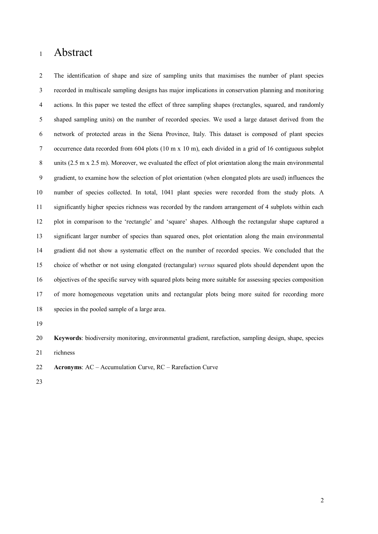## Abstract

 The identification of shape and size of sampling units that maximises the number of plant species recorded in multiscale sampling designs has major implications in conservation planning and monitoring actions. In this paper we tested the effect of three sampling shapes (rectangles, squared, and randomly shaped sampling units) on the number of recorded species. We used a large dataset derived from the network of protected areas in the Siena Province, Italy. This dataset is composed of plant species occurrence data recorded from 604 plots (10 m x 10 m), each divided in a grid of 16 contiguous subplot units (2.5 m x 2.5 m). Moreover, we evaluated the effect of plot orientation along the main environmental gradient, to examine how the selection of plot orientation (when elongated plots are used) influences the number of species collected. In total, 1041 plant species were recorded from the study plots. A significantly higher species richness was recorded by the random arrangement of 4 subplots within each plot in comparison to the 'rectangle' and 'square' shapes. Although the rectangular shape captured a significant larger number of species than squared ones, plot orientation along the main environmental gradient did not show a systematic effect on the number of recorded species. We concluded that the choice of whether or not using elongated (rectangular) *versus* squared plots should dependent upon the objectives of the specific survey with squared plots being more suitable for assessing species composition of more homogeneous vegetation units and rectangular plots being more suited for recording more species in the pooled sample of a large area.

 **Keywords**: biodiversity monitoring, environmental gradient, rarefaction, sampling design, shape, species richness

- **Acronyms**: AC Accumulation Curve, RC Rarefaction Curve
-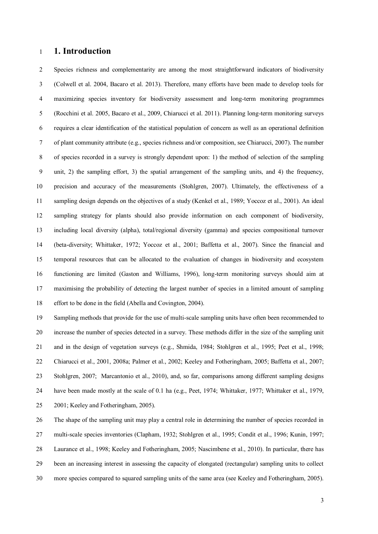#### **1. Introduction**

 Species richness and complementarity are among the most straightforward indicators of biodiversity (Colwell et al. 2004, Bacaro et al. 2013). Therefore, many efforts have been made to develop tools for maximizing species inventory for biodiversity assessment and long-term monitoring programmes (Rocchini et al. 2005, Bacaro et al., 2009, Chiarucci et al. 2011). Planning long-term monitoring surveys requires a clear identification of the statistical population of concern as well as an operational definition of plant community attribute (e.g., species richness and/or composition, see Chiarucci, 2007). The number of species recorded in a survey is strongly dependent upon: 1) the method of selection of the sampling unit, 2) the sampling effort, 3) the spatial arrangement of the sampling units, and 4) the frequency, precision and accuracy of the measurements (Stohlgren, 2007). Ultimately, the effectiveness of a sampling design depends on the objectives of a study (Kenkel et al., 1989; Yoccoz et al., 2001). An ideal sampling strategy for plants should also provide information on each component of biodiversity, including local diversity (alpha), total/regional diversity (gamma) and species compositional turnover (beta-diversity; Whittaker, 1972; Yoccoz et al., 2001; Baffetta et al., 2007). Since the financial and temporal resources that can be allocated to the evaluation of changes in biodiversity and ecosystem functioning are limited (Gaston and Williams, 1996), long-term monitoring surveys should aim at maximising the probability of detecting the largest number of species in a limited amount of sampling effort to be done in the field (Abella and Covington, 2004).

 Sampling methods that provide for the use of multi-scale sampling units have often been recommended to increase the number of species detected in a survey. These methods differ in the size of the sampling unit and in the design of vegetation surveys (e.g., Shmida, 1984; Stohlgren et al., 1995; Peet et al., 1998; Chiarucci et al., 2001, 2008a; Palmer et al., 2002; Keeley and Fotheringham, 2005; Baffetta et al., 2007; Stohlgren, 2007; Marcantonio et al., 2010), and, so far, comparisons among different sampling designs have been made mostly at the scale of 0.1 ha (e.g., Peet, 1974; Whittaker, 1977; Whittaker et al., 1979, 2001; Keeley and Fotheringham, 2005).

 The shape of the sampling unit may play a central role in determining the number of species recorded in multi-scale species inventories (Clapham, 1932; Stohlgren et al., 1995; Condit et al., 1996; Kunin, 1997; Laurance et al., 1998; Keeley and Fotheringham, 2005; Nascimbene et al., 2010). In particular, there has been an increasing interest in assessing the capacity of elongated (rectangular) sampling units to collect more species compared to squared sampling units of the same area (see Keeley and Fotheringham, 2005).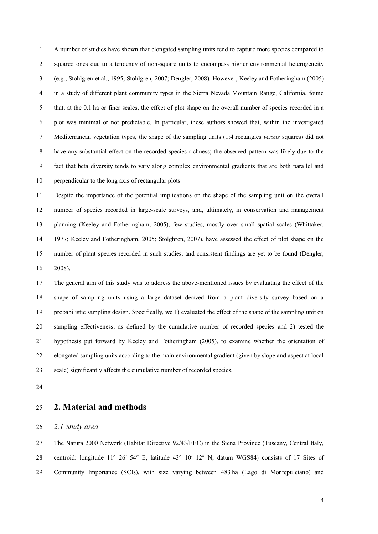A number of studies have shown that elongated sampling units tend to capture more species compared to squared ones due to a tendency of non-square units to encompass higher environmental heterogeneity (e.g., Stohlgren et al., 1995; Stohlgren, 2007; Dengler, 2008). However, Keeley and Fotheringham (2005) in a study of different plant community types in the Sierra Nevada Mountain Range, California, found that, at the 0.1 ha or finer scales, the effect of plot shape on the overall number of species recorded in a plot was minimal or not predictable. In particular, these authors showed that, within the investigated Mediterranean vegetation types, the shape of the sampling units (1:4 rectangles *versus* squares) did not have any substantial effect on the recorded species richness; the observed pattern was likely due to the fact that beta diversity tends to vary along complex environmental gradients that are both parallel and perpendicular to the long axis of rectangular plots.

 Despite the importance of the potential implications on the shape of the sampling unit on the overall number of species recorded in large-scale surveys, and, ultimately, in conservation and management planning (Keeley and Fotheringham, 2005), few studies, mostly over small spatial scales (Whittaker, 1977; Keeley and Fotheringham, 2005; Stolghren, 2007), have assessed the effect of plot shape on the number of plant species recorded in such studies, and consistent findings are yet to be found (Dengler, 2008).

 The general aim of this study was to address the above-mentioned issues by evaluating the effect of the shape of sampling units using a large dataset derived from a plant diversity survey based on a probabilistic sampling design. Specifically, we 1) evaluated the effect of the shape of the sampling unit on sampling effectiveness, as defined by the cumulative number of recorded species and 2) tested the hypothesis put forward by Keeley and Fotheringham (2005), to examine whether the orientation of elongated sampling units according to the main environmental gradient (given by slope and aspect at local scale) significantly affects the cumulative number of recorded species.

### **2. Material and methods**

*2.1 Study area*

 The Natura 2000 Network (Habitat Directive 92/43/EEC) in the Siena Province (Tuscany, Central Italy, centroid: longitude 11° 26′ 54″ E, latitude 43° 10′ 12″ N, datum WGS84) consists of 17 Sites of Community Importance (SCIs), with size varying between 483 ha (Lago di Montepulciano) and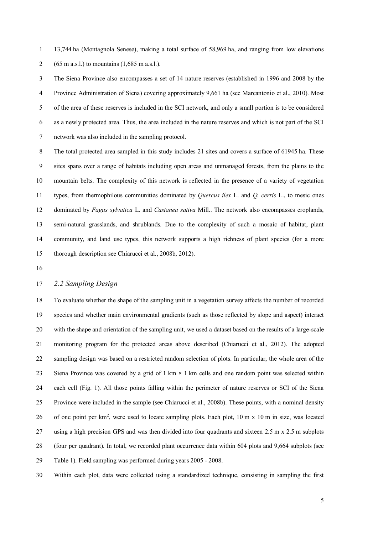13,744 ha (Montagnola Senese), making a total surface of 58,969 ha, and ranging from low elevations 2 (65 m a.s.l.) to mountains  $(1,685 \text{ m a.s.}$ .

 The Siena Province also encompasses a set of 14 nature reserves (established in 1996 and 2008 by the Province Administration of Siena) covering approximately 9,661 ha (see Marcantonio et al., 2010). Most of the area of these reserves is included in the SCI network, and only a small portion is to be considered as a newly protected area. Thus, the area included in the nature reserves and which is not part of the SCI network was also included in the sampling protocol.

 The total protected area sampled in this study includes 21 sites and covers a surface of 61945 ha. These sites spans over a range of habitats including open areas and unmanaged forests, from the plains to the mountain belts. The complexity of this network is reflected in the presence of a variety of vegetation types, from thermophilous communities dominated by *Quercus ilex* L. and *Q. cerris* L., to mesic ones dominated by *Fagus sylvatica* L. and *Castanea sativa* Mill.. The network also encompasses croplands, semi-natural grasslands, and shrublands. Due to the complexity of such a mosaic of habitat, plant community, and land use types, this network supports a high richness of plant species (for a more thorough description see Chiarucci et al., 2008b, 2012).

#### *2.2 Sampling Design*

 To evaluate whether the shape of the sampling unit in a vegetation survey affects the number of recorded species and whether main environmental gradients (such as those reflected by slope and aspect) interact with the shape and orientation of the sampling unit, we used a dataset based on the results of a large-scale monitoring program for the protected areas above described (Chiarucci et al., 2012). The adopted sampling design was based on a restricted random selection of plots. In particular, the whole area of the Siena Province was covered by a grid of 1 km × 1 km cells and one random point was selected within each cell (Fig. 1). All those points falling within the perimeter of nature reserves or SCI of the Siena Province were included in the sample (see Chiarucci et al., 2008b). These points, with a nominal density 26 of one point per km<sup>2</sup>, were used to locate sampling plots. Each plot,  $10 \text{ m} \times 10 \text{ m}$  in size, was located using a high precision GPS and was then divided into four quadrants and sixteen 2.5 m x 2.5 m subplots (four per quadrant). In total, we recorded plant occurrence data within 604 plots and 9,664 subplots (see Table 1). Field sampling was performed during years 2005 - 2008.

Within each plot, data were collected using a standardized technique, consisting in sampling the first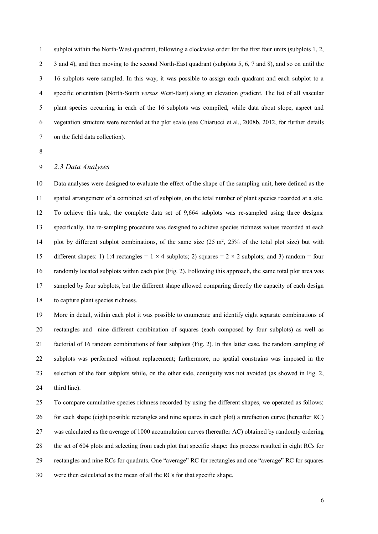subplot within the North-West quadrant, following a clockwise order for the first four units (subplots 1, 2, 3 and 4), and then moving to the second North-East quadrant (subplots 5, 6, 7 and 8), and so on until the 16 subplots were sampled. In this way, it was possible to assign each quadrant and each subplot to a specific orientation (North-South *versus* West-East) along an elevation gradient. The list of all vascular plant species occurring in each of the 16 subplots was compiled, while data about slope, aspect and vegetation structure were recorded at the plot scale (see Chiarucci et al., 2008b, 2012, for further details on the field data collection).

#### *2.3 Data Analyses*

 Data analyses were designed to evaluate the effect of the shape of the sampling unit, here defined as the spatial arrangement of a combined set of subplots, on the total number of plant species recorded at a site. To achieve this task, the complete data set of 9,664 subplots was re-sampled using three designs: specifically, the re-sampling procedure was designed to achieve species richness values recorded at each 14 plot by different subplot combinations, of the same size  $(25 \text{ m}^2, 25\%$  of the total plot size) but with 15 different shapes: 1) 1:4 rectangles = 1  $\times$  4 subplots; 2) squares = 2  $\times$  2 subplots; and 3) random = four randomly located subplots within each plot (Fig. 2). Following this approach, the same total plot area was sampled by four subplots, but the different shape allowed comparing directly the capacity of each design to capture plant species richness.

 More in detail, within each plot it was possible to enumerate and identify eight separate combinations of rectangles and nine different combination of squares (each composed by four subplots) as well as factorial of 16 random combinations of four subplots (Fig. 2). In this latter case, the random sampling of subplots was performed without replacement; furthermore, no spatial constrains was imposed in the selection of the four subplots while, on the other side, contiguity was not avoided (as showed in Fig. 2, third line).

 To compare cumulative species richness recorded by using the different shapes, we operated as follows: for each shape (eight possible rectangles and nine squares in each plot) a rarefaction curve (hereafter RC) was calculated as the average of 1000 accumulation curves (hereafter AC) obtained by randomly ordering the set of 604 plots and selecting from each plot that specific shape: this process resulted in eight RCs for rectangles and nine RCs for quadrats. One "average" RC for rectangles and one "average" RC for squares were then calculated as the mean of all the RCs for that specific shape.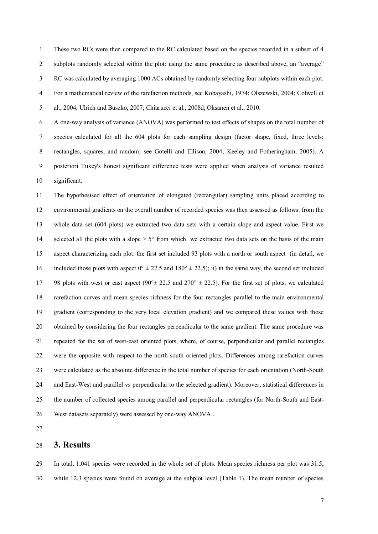These two RCs were then compared to the RC calculated based on the species recorded in a subset of 4 subplots randomly selected within the plot: using the same procedure as described above, an "average" RC was calculated by averaging 1000 ACs obtained by randomly selecting four subplots within each plot. For a mathematical review of the rarefaction methods, see Kobayashi, 1974; Olszewski, 2004; Colwell et al., 2004; Ulrich and Buszko, 2007; Chiarucci et al., 2008d; Oksanen et al., 2010.

 A one-way analysis of variance (ANOVA) was performed to test effects of shapes on the total number of species calculated for all the 604 plots for each sampling design (factor shape, fixed, three levels: rectangles, squares, and random; see Gotelli and Ellison, 2004; Keeley and Fotheringham, 2005). A posteriori Tukey's honest significant difference tests were applied when analysis of variance resulted significant.

 The hypothesised effect of orientation of elongated (rectangular) sampling units placed according to environmental gradients on the overall number of recorded species was then assessed as follows: from the whole data set (604 plots) we extracted two data sets with a certain slope and aspect value. First we 14 selected all the plots with a slope  $> 5^{\circ}$  from which we extracted two data sets on the basis of the main aspect characterizing each plot: the first set included 93 plots with a north or south aspect (in detail, we 16 included those plots with aspect  $0^{\circ} \pm 22.5$  and  $180^{\circ} \pm 22.5$ ); ii) in the same way, the second set included 17 98 plots with west or east aspect (90 $\degree$   $\pm$  22.5 and 270 $\degree$   $\pm$  22.5). For the first set of plots, we calculated rarefaction curves and mean species richness for the four rectangles parallel to the main environmental gradient (corresponding to the very local elevation gradient) and we compared these values with those obtained by considering the four rectangles perpendicular to the same gradient. The same procedure was repeated for the set of west-east oriented plots, where, of course, perpendicular and parallel rectangles were the opposite with respect to the north-south oriented plots. Differences among rarefaction curves were calculated as the absolute difference in the total number of species for each orientation (North-South and East-West and parallel vs perpendicular to the selected gradient). Moreover, statistical differences in the number of collected species among parallel and perpendicular rectangles (for North-South and East-West datasets separately) were assessed by one-way ANOVA .

#### **3. Results**

 In total, 1,041 species were recorded in the whole set of plots. Mean species richness per plot was 31.5, while 12.3 species were found on average at the subplot level (Table 1). The mean number of species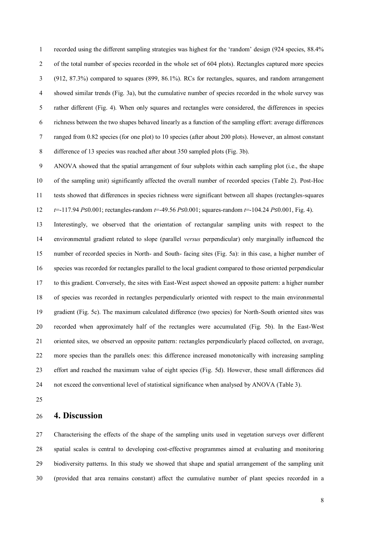recorded using the different sampling strategies was highest for the 'random' design (924 species, 88.4% 2 of the total number of species recorded in the whole set of 604 plots). Rectangles captured more species (912, 87.3%) compared to squares (899, 86.1%). RCs for rectangles, squares, and random arrangement showed similar trends (Fig. 3a), but the cumulative number of species recorded in the whole survey was rather different (Fig. 4). When only squares and rectangles were considered, the differences in species richness between the two shapes behaved linearly as a function of the sampling effort: average differences ranged from 0.82 species (for one plot) to 10 species (after about 200 plots). However, an almost constant difference of 13 species was reached after about 350 sampled plots (Fig. 3b).

 ANOVA showed that the spatial arrangement of four subplots within each sampling plot (i.e., the shape of the sampling unit) significantly affected the overall number of recorded species (Table 2). Post-Hoc tests showed that differences in species richness were significant between all shapes (rectangles-squares *t*=-117.94 *P*≤0.001; rectangles-random *t*=-49.56 *P*≤0.001; squares-random *t*=-104.24 *P*≤0.001, Fig. 4).

 Interestingly, we observed that the orientation of rectangular sampling units with respect to the environmental gradient related to slope (parallel *versus* perpendicular) only marginally influenced the number of recorded species in North- and South- facing sites (Fig. 5a): in this case, a higher number of species was recorded for rectangles parallel to the local gradient compared to those oriented perpendicular to this gradient. Conversely, the sites with East-West aspect showed an opposite pattern: a higher number of species was recorded in rectangles perpendicularly oriented with respect to the main environmental gradient (Fig. 5c). The maximum calculated difference (two species) for North-South oriented sites was recorded when approximately half of the rectangles were accumulated (Fig. 5b). In the East-West oriented sites, we observed an opposite pattern: rectangles perpendicularly placed collected, on average, more species than the parallels ones: this difference increased monotonically with increasing sampling effort and reached the maximum value of eight species (Fig. 5d). However, these small differences did not exceed the conventional level of statistical significance when analysed by ANOVA (Table 3).

## **4. Discussion**

 Characterising the effects of the shape of the sampling units used in vegetation surveys over different spatial scales is central to developing cost-effective programmes aimed at evaluating and monitoring biodiversity patterns. In this study we showed that shape and spatial arrangement of the sampling unit (provided that area remains constant) affect the cumulative number of plant species recorded in a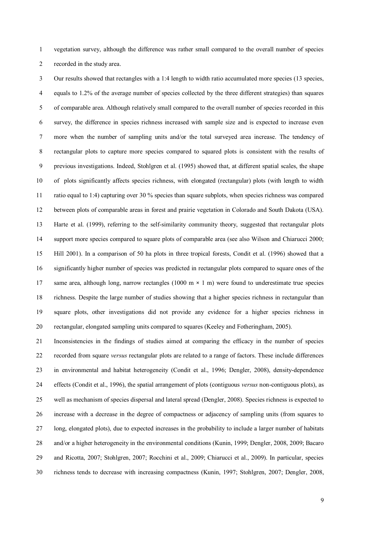vegetation survey, although the difference was rather small compared to the overall number of species recorded in the study area.

 Our results showed that rectangles with a 1:4 length to width ratio accumulated more species (13 species, equals to 1.2% of the average number of species collected by the three different strategies) than squares of comparable area. Although relatively small compared to the overall number of species recorded in this survey, the difference in species richness increased with sample size and is expected to increase even more when the number of sampling units and/or the total surveyed area increase. The tendency of rectangular plots to capture more species compared to squared plots is consistent with the results of previous investigations. Indeed, Stohlgren et al. (1995) showed that, at different spatial scales, the shape of plots significantly affects species richness, with elongated (rectangular) plots (with length to width ratio equal to 1:4) capturing over 30 % species than square subplots, when species richness was compared between plots of comparable areas in forest and prairie vegetation in Colorado and South Dakota (USA). Harte et al. (1999), referring to the self-similarity community theory, suggested that rectangular plots support more species compared to square plots of comparable area (see also Wilson and Chiarucci 2000; Hill 2001). In a comparison of 50 ha plots in three tropical forests, Condit et al. (1996) showed that a significantly higher number of species was predicted in rectangular plots compared to square ones of the same area, although long, narrow rectangles (1000 m × 1 m) were found to underestimate true species richness. Despite the large number of studies showing that a higher species richness in rectangular than square plots, other investigations did not provide any evidence for a higher species richness in rectangular, elongated sampling units compared to squares (Keeley and Fotheringham, 2005).

 Inconsistencies in the findings of studies aimed at comparing the efficacy in the number of species recorded from square *versus* rectangular plots are related to a range of factors. These include differences in environmental and habitat heterogeneity (Condit et al., 1996; Dengler, 2008), density-dependence effects (Condit et al., 1996), the spatial arrangement of plots (contiguous *versus* non-contiguous plots), as well as mechanism of species dispersal and lateral spread (Dengler, 2008). Species richness is expected to increase with a decrease in the degree of compactness or adjacency of sampling units (from squares to long, elongated plots), due to expected increases in the probability to include a larger number of habitats and/or a higher heterogeneity in the environmental conditions (Kunin, 1999; Dengler, 2008, 2009; Bacaro and Ricotta, 2007; Stohlgren, 2007; Rocchini et al., 2009; Chiarucci et al., 2009). In particular, species richness tends to decrease with increasing compactness (Kunin, 1997; Stohlgren, 2007; Dengler, 2008,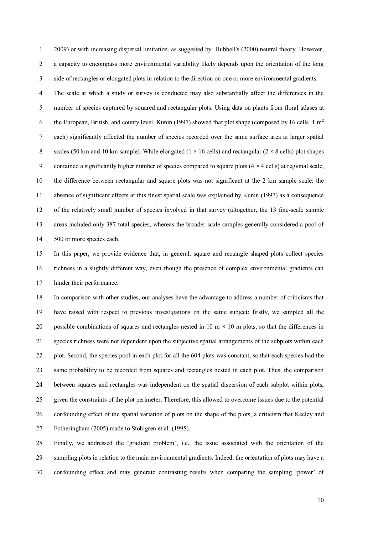2009) or with increasing dispersal limitation, as suggested by Hubbell's (2000) neutral theory. However, a capacity to encompass more environmental variability likely depends upon the orientation of the long side of rectangles or elongated plots in relation to the direction on one or more environmental gradients.

 The scale at which a study or survey is conducted may also substantially affect the differences in the number of species captured by squared and rectangular plots. Using data on plants from floral atlases at 6 the European, British, and county level, Kunin (1997) showed that plot shape (composed by 16 cells  $1 \text{ m}^2$  each) significantly affected the number of species recorded over the same surface area at larger spatial 8 scales (50 km and 10 km sample). While elongated (1  $\times$  16 cells) and rectangular (2  $\times$  8 cells) plot shapes contained a significantly higher number of species compared to square plots (4 × 4 cells) at regional scale, the difference between rectangular and square plots was not significant at the 2 km sample scale: the absence of significant effects at this finest spatial scale was explained by Kunin (1997) as a consequence of the relatively small number of species involved in that survey (altogether, the 13 fine-scale sample areas included only 387 total species, whereas the broader scale samples generally considered a pool of 14 500 or more species each.

 In this paper, we provide evidence that, in general, square and rectangle shaped plots collect species richness in a slightly different way, even though the presence of complex environmental gradients can hinder their performance.

 In comparison with other studies, our analyses have the advantage to address a number of criticisms that have raised with respect to previous investigations on the same subject: firstly, we sampled all the 20 possible combinations of squares and rectangles nested in  $10 \text{ m} \times 10 \text{ m}$  plots, so that the differences in species richness were not dependent upon the subjective spatial arrangements of the subplots within each plot. Second, the species pool in each plot for all the 604 plots was constant, so that each species had the same probability to be recorded from squares and rectangles nested in each plot. Thus, the comparison between squares and rectangles was independent on the spatial dispersion of each subplot within plots, given the constraints of the plot perimeter. Therefore, this allowed to overcome issues due to the potential confounding effect of the spatial variation of plots on the shape of the plots, a criticism that Keeley and Fotheringham (2005) made to Stohlgren et al. (1995).

 Finally, we addressed the 'gradient problem', i.e., the issue associated with the orientation of the sampling plots in relation to the main environmental gradients. Indeed, the orientation of plots may have a confounding effect and may generate contrasting results when comparing the sampling 'power' of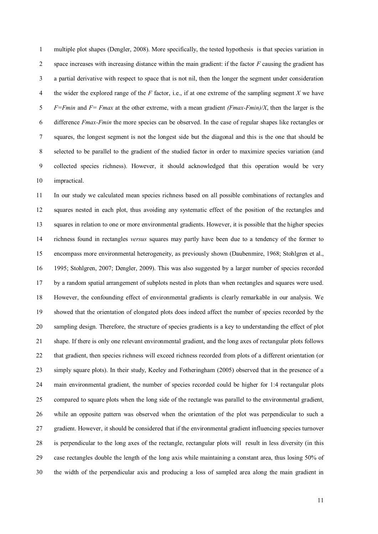multiple plot shapes (Dengler, 2008). More specifically, the tested hypothesis is that species variation in space increases with increasing distance within the main gradient: if the factor *F* causing the gradient has a partial derivative with respect to space that is not nil, then the longer the segment under consideration the wider the explored range of the *F* factor, i.e., if at one extreme of the sampling segment *X* we have *F=Fmin* and *F= Fmax* at the other extreme, with a mean gradient *(Fmax-Fmin)/X*, then the larger is the difference *Fmax-Fmin* the more species can be observed. In the case of regular shapes like rectangles or squares, the longest segment is not the longest side but the diagonal and this is the one that should be selected to be parallel to the gradient of the studied factor in order to maximize species variation (and collected species richness). However, it should acknowledged that this operation would be very impractical.

 In our study we calculated mean species richness based on all possible combinations of rectangles and squares nested in each plot, thus avoiding any systematic effect of the position of the rectangles and squares in relation to one or more environmental gradients. However, it is possible that the higher species richness found in rectangles *versus* squares may partly have been due to a tendency of the former to encompass more environmental heterogeneity, as previously shown (Daubenmire, 1968; Stohlgren et al., 1995; Stohlgren, 2007; Dengler, 2009). This was also suggested by a larger number of species recorded by a random spatial arrangement of subplots nested in plots than when rectangles and squares were used. However, the confounding effect of environmental gradients is clearly remarkable in our analysis. We showed that the orientation of elongated plots does indeed affect the number of species recorded by the sampling design. Therefore, the structure of species gradients is a key to understanding the effect of plot shape. If there is only one relevant environmental gradient, and the long axes of rectangular plots follows that gradient, then species richness will exceed richness recorded from plots of a different orientation (or simply square plots). In their study, Keeley and Fotheringham (2005) observed that in the presence of a main environmental gradient, the number of species recorded could be higher for 1:4 rectangular plots compared to square plots when the long side of the rectangle was parallel to the environmental gradient, while an opposite pattern was observed when the orientation of the plot was perpendicular to such a gradient. However, it should be considered that if the environmental gradient influencing species turnover is perpendicular to the long axes of the rectangle, rectangular plots will result in less diversity (in this case rectangles double the length of the long axis while maintaining a constant area, thus losing 50% of the width of the perpendicular axis and producing a loss of sampled area along the main gradient in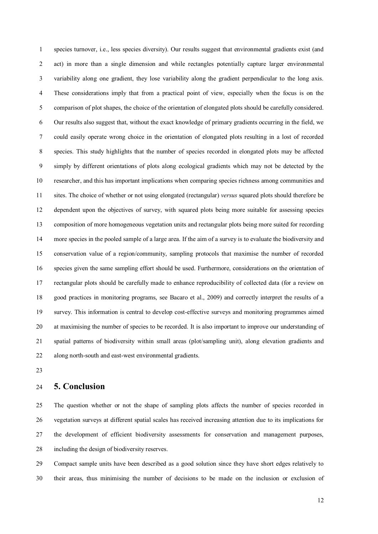species turnover, i.e., less species diversity). Our results suggest that environmental gradients exist (and act) in more than a single dimension and while rectangles potentially capture larger environmental variability along one gradient, they lose variability along the gradient perpendicular to the long axis. These considerations imply that from a practical point of view, especially when the focus is on the comparison of plot shapes, the choice of the orientation of elongated plots should be carefully considered. Our results also suggest that, without the exact knowledge of primary gradients occurring in the field, we could easily operate wrong choice in the orientation of elongated plots resulting in a lost of recorded species. This study highlights that the number of species recorded in elongated plots may be affected simply by different orientations of plots along ecological gradients which may not be detected by the researcher, and this has important implications when comparing species richness among communities and sites. The choice of whether or not using elongated (rectangular) *versus* squared plots should therefore be dependent upon the objectives of survey, with squared plots being more suitable for assessing species composition of more homogeneous vegetation units and rectangular plots being more suited for recording more species in the pooled sample of a large area. If the aim of a survey is to evaluate the biodiversity and conservation value of a region/community, sampling protocols that maximise the number of recorded species given the same sampling effort should be used. Furthermore, considerations on the orientation of rectangular plots should be carefully made to enhance reproducibility of collected data (for a review on good practices in monitoring programs, see Bacaro et al., 2009) and correctly interpret the results of a survey. This information is central to develop cost-effective surveys and monitoring programmes aimed at maximising the number of species to be recorded. It is also important to improve our understanding of spatial patterns of biodiversity within small areas (plot/sampling unit), along elevation gradients and along north-south and east-west environmental gradients.

#### **5. Conclusion**

 The question whether or not the shape of sampling plots affects the number of species recorded in vegetation surveys at different spatial scales has received increasing attention due to its implications for the development of efficient biodiversity assessments for conservation and management purposes, including the design of biodiversity reserves.

 Compact sample units have been described as a good solution since they have short edges relatively to their areas, thus minimising the number of decisions to be made on the inclusion or exclusion of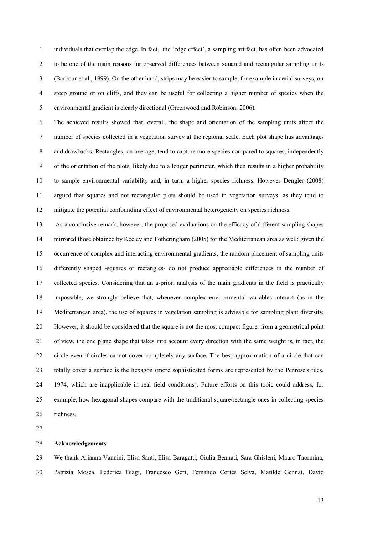individuals that overlap the edge. In fact, the 'edge effect', a sampling artifact, has often been advocated to be one of the main reasons for observed differences between squared and rectangular sampling units (Barbour et al., 1999). On the other hand, strips may be easier to sample, for example in aerial surveys, on steep ground or on cliffs, and they can be useful for collecting a higher number of species when the environmental gradient is clearly directional (Greenwood and Robinson, 2006).

 The achieved results showed that, overall, the shape and orientation of the sampling units affect the number of species collected in a vegetation survey at the regional scale. Each plot shape has advantages and drawbacks. Rectangles, on average, tend to capture more species compared to squares, independently of the orientation of the plots, likely due to a longer perimeter, which then results in a higher probability to sample environmental variability and, in turn, a higher species richness. However Dengler (2008) argued that squares and not rectangular plots should be used in vegetation surveys, as they tend to mitigate the potential confounding effect of environmental heterogeneity on species richness.

 As a conclusive remark, however, the proposed evaluations on the efficacy of different sampling shapes mirrored those obtained by Keeley and Fotheringham (2005) for the Mediterranean area as well: given the occurrence of complex and interacting environmental gradients, the random placement of sampling units differently shaped -squares or rectangles- do not produce appreciable differences in the number of collected species. Considering that an a-priori analysis of the main gradients in the field is practically impossible, we strongly believe that, whenever complex environmental variables interact (as in the Mediterranean area), the use of squares in vegetation sampling is advisable for sampling plant diversity. However, it should be considered that the square is not the most compact figure: from a geometrical point of view, the one plane shape that takes into account every direction with the same weight is, in fact, the circle even if circles cannot cover completely any surface. The best approximation of a circle that can totally cover a surface is the hexagon (more sophisticated forms are represented by the Penrose's tiles, 1974, which are inapplicable in real field conditions). Future efforts on this topic could address, for example, how hexagonal shapes compare with the traditional square/rectangle ones in collecting species richness.

#### **Acknowledgements**

 We thank Arianna Vannini, Elisa Santi, Elisa Baragatti, Giulia Bennati, Sara Ghisleni, Mauro Taormina, Patrizia Mosca, Federica Biagi, Francesco Geri, Fernando Cortés Selva, Matilde Gennai, David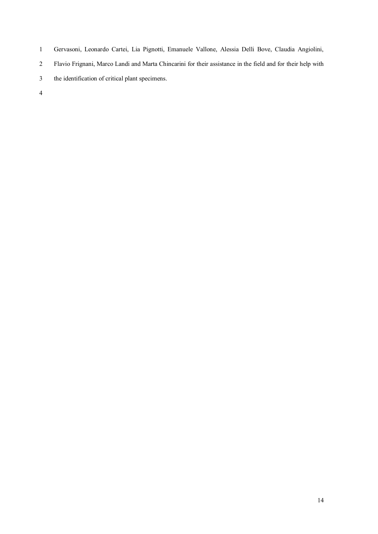- Gervasoni, Leonardo Cartei, Lia Pignotti, Emanuele Vallone, Alessia Delli Bove, Claudia Angiolini,
- Flavio Frignani, Marco Landi and Marta Chincarini for their assistance in the field and for their help with
- the identification of critical plant specimens.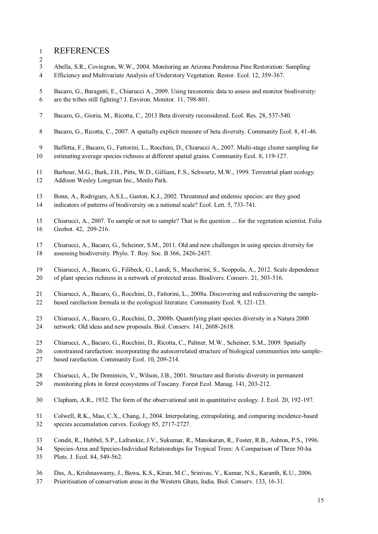- REFERENCES
- $\frac{2}{3}$ Abella, S.R., Covington, W.W., 2004. Monitoring an Arizona Ponderosa Pine Restoration: Sampling
- Efficiency and Multivariate Analysis of Understory Vegetation. Restor. Ecol. 12, 359-367.
- Bacaro, G., Baragatti, E., Chiarucci A., 2009. Using taxonomic data to assess and monitor biodiversity:
- are the tribes still fighting? J. Environ. Monitor. 11, 798-801.
- Bacaro, G., Gioria, M., Ricotta, C., 2013 Beta diversity reconsidered. Ecol. Res. 28, 537-540.
- Bacaro, G., Ricotta, C., 2007. A spatially explicit measure of beta diversity. Community Ecol. 8, 41-46.
- Baffetta, F., Bacaro, G., Fattorini, L., Rocchini, D., Chiarucci A., 2007. Multi-stage cluster sampling for
- estimating average species richness at different spatial grains. Community Ecol. 8, 119-127.
- Barbour, M.G., Burk, J.H., Pitts, W.D., Gilliam, F.S., Schwartz, M.W., 1999. Terrestrial plant ecology.
- Addison Wesley Longman Inc., Menlo Park.
- Bonn, A., Rodrigues, A.S.L., Gaston, K.J., 2002. Threatened and endemic species: are they good
- indicators of patterns of biodiversity on a national scale? Ecol. Lett. 5, 733-741.
- Chiarucci, A., 2007. To sample or not to sample? That is the question ... for the vegetation scientist. Folia Geobot. 42, 209-216.
- Chiarucci, A., Bacaro, G., Scheiner, S.M., 2011. Old and new challenges in using species diversity for assessing biodiversity. Phylo. T. Roy. Soc. B 366, 2426-2437.
- Chiarucci, A., Bacaro, G., Filibeck, G., Landi, S., Maccherini, S., Scoppola, A., 2012. Scale dependence of plant species richness in a network of protected areas. Biodivers. Conserv. 21, 503-516.
- Chiarucci, A., Bacaro, G., Rocchini, D., Fattorini, L., 2008a. Discovering and rediscovering the sample-based rarefaction formula in the ecological literature. Community Ecol. 9, 121-123.
- Chiarucci, A., Bacaro, G., Rocchini, D., 2008b. Quantifying plant species diversity in a Natura 2000 network: Old ideas and new proposals. Biol. Conserv. 141, 2608-2618.
- Chiarucci, A., Bacaro, G., Rocchini, D., Ricotta, C., Palmer, M.W., Scheiner, S.M., 2009. Spatially
- constrained rarefaction: incorporating the autocorrelated structure of biological communities into sample-based rarefaction. Community Ecol. 10, 209-214.
- Chiarucci, A., De Dominicis, V., Wilson, J.B., 2001. Structure and floristic diversity in permanent
- monitoring plots in forest ecosystems of Tuscany. Forest Ecol. Manag. 141, 203-212.
- Clapham, A.R., 1932. The form of the observational unit in quantitative ecology. J. Ecol. 20, 192-197.
- Colwell, R.K., Mao, C.X., Chang, J., 2004. Interpolating, extrapolating, and comparing incidence-based species accumulation curves. Ecology 85, 2717-2727.
- Condit, R., Hubbel, S.P., Lafrankie, J.V., Sukumar, R., Manokaran, R., Foster, R.B., Ashton, P.S., 1996.
- Species-Area and Species-Individual Relationships for Tropical Trees: A Comparison of Three 50-ha
- Plots. J. Ecol. 84, 549-562.
- Das, A., Krishnaswamy, J., Bawa, K.S., Kiran, M.C., Srinivas, V., Kumar, N.S., Karanth, K.U., 2006.
- Prioritisation of conservation areas in the Western Ghats, India. Biol. Conserv. 133, 16-31.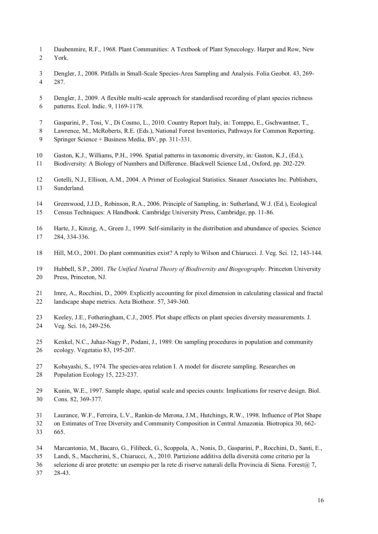- Daubenmire, R.F., 1968. Plant Communities: A Textbook of Plant Synecology. Harper and Row, New York.
- Dengler, J., 2008. Pitfalls in Small-Scale Species-Area Sampling and Analysis. Folia Geobot. 43, 269- 287.
- Dengler, J., 2009. A flexible multi-scale approach for standardised recording of plant species richness patterns. Ecol. Indic. 9, 1169-1178.
- Gasparini, P., Tosi, V., Di Cosmo, L., 2010. Country Report Italy, in: Tomppo, E., Gschwantner, T.,
- Lawrence, M., McRoberts, R.E. (Eds.), National Forest Inventories, Pathways for Common Reporting. Springer Science + Business Media, BV, pp. 311-331.
- Gaston, K.J., Williams, P.H., 1996. Spatial patterns in taxonomic diversity, in: Gaston, K.J., (Ed.),
- Biodiversity: A Biology of Numbers and Difference. Blackwell Science Ltd., Oxford, pp. 202-229.
- Gotelli, N.J., Ellison, A.M., 2004. A Primer of Ecological Statistics. Sinauer Associates Inc. Publishers, Sunderland.
- Greenwood, J.J.D., Robinson, R.A., 2006. Principle of Sampling, in: Sutherland, W.J. (Ed.), Ecological
- Census Techniques: A Handbook. Cambridge University Press, Cambridge, pp. 11-86.
- Harte, J., Kinzig, A., Green J., 1999. Self-similarity in the distribution and abundance of species. Science 284, 334-336.
- Hill, M.O., 2001. Do plant communities exist? A reply to Wilson and Chiarucci. J. Veg. Sci. 12, 143-144.
- Hubbell, S.P., 2001. *The Unified Neutral Theory of Biodiversity and Biogeography*. Princeton University Press, Princeton, NJ.
- Imre, A., Rocchini, D., 2009. Explicitly accounting for pixel dimension in calculating classical and fractal landscape shape metrics. Acta Biotheor. 57, 349-360.
- Keeley, J.E., Fotheringham, C.J., 2005. Plot shape effects on plant species diversity measurements. J. Veg. Sci. 16, 249-256.
- Kenkel, N.C., Juhaz-Nagy P., Podani, J., 1989. On sampling procedures in population and community ecology. Vegetatio 83, 195-207.
- Kobayashi, S., 1974. The species-area relation I. A model for discrete sampling. Researches on Population Ecology 15, 223-237.
- Kunin, W.E., 1997. Sample shape, spatial scale and species counts: Implications for reserve design. Biol. Cons. 82, 369-377.
- Laurance, W.F., Ferreira, L.V., Rankin-de Merona, J.M., Hutchings, R.W., 1998. Influence of Plot Shape
- on Estimates of Tree Diversity and Community Composition in Central Amazonia. Biotropica 30, 662-
- 665.
- Marcantonio, M., Bacaro, G., Filibeck, G., Scoppola, A., Nonis, D., Gasparini, P., Rocchini, D., Santi, E.,
- Landi, S., Maccherini, S., Chiarucci, A., 2010. Partizione additiva della diversità come criterio per la
- selezione di aree protette: un esempio per la rete di riserve naturali della Provincia di Siena. Forest@ 7,
- 28-43.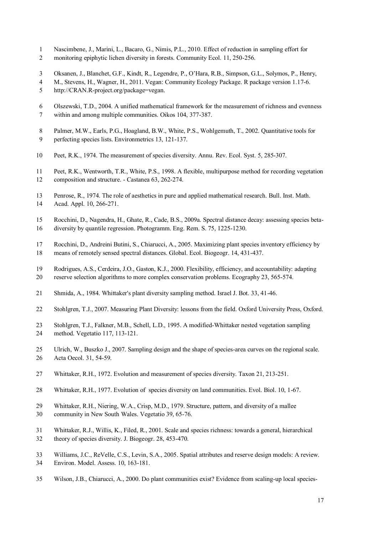- Nascimbene, J., Marini, L., Bacaro, G., Nimis, P.L., 2010. Effect of reduction in sampling effort for
- 2 monitoring epiphytic lichen diversity in forests. Community Ecol. 11, 250-256.
- Oksanen, J., Blanchet, G.F., Kindt, R., Legendre, P., O'Hara, R.B., Simpson, G.L., Solymos, P., Henry,
- M., Stevens, H., Wagner, H., 2011. Vegan: Community Ecology Package. R package version 1.17-6.
- http://CRAN.R-project.org/package=vegan.
- Olszewski, T.D., 2004. A unified mathematical framework for the measurement of richness and evenness within and among multiple communities. Oikos 104, 377-387.
- Palmer, M.W., Earls, P.G., Hoagland, B.W., White, P.S., Wohlgemuth, T., 2002. Quantitative tools for
- perfecting species lists. Environmetrics 13, 121-137.
- Peet, R.K., 1974. The measurement of species diversity. Annu. Rev. Ecol. Syst. 5, 285-307.
- Peet, R.K., Wentworth, T.R., White, P.S., 1998. A flexible, multipurpose method for recording vegetation composition and structure. - Castanea 63, 262-274.
- Penrose, R., 1974. The role of aesthetics in pure and applied mathematical research. Bull. Inst. Math. Acad. Appl. 10, 266-271.
- Rocchini, D., Nagendra, H., Ghate, R., Cade, B.S., 2009a. Spectral distance decay: assessing species beta-
- diversity by quantile regression. Photogramm. Eng. Rem. S. 75, 1225-1230.
- Rocchini, D., Andreini Butini, S., Chiarucci, A., 2005. Maximizing plant species inventory efficiency by means of remotely sensed spectral distances. Global. Ecol. Biogeogr. 14, 431-437.
- Rodrigues, A.S., Cerdeira, J.O., Gaston, K.J., 2000. Flexibility, efficiency, and accountability: adapting reserve selection algorithms to more complex conservation problems. Ecography 23, 565-574.
- Shmida, A., 1984. Whittaker's plant diversity sampling method. Israel J. Bot. 33, 41-46.
- Stohlgren, T.J., 2007. Measuring Plant Diversity: lessons from the field. Oxford University Press, Oxford.
- Stohlgren, T.J., Falkner, M.B., Schell, L.D., 1995. A modified-Whittaker nested vegetation sampling method. Vegetatio 117, 113-121.
- Ulrich, W., Buszko J., 2007. Sampling design and the shape of species-area curves on the regional scale. Acta Oecol. 31, 54-59.
- Whittaker, R.H., 1972. Evolution and measurement of species diversity. Taxon 21, 213-251.
- Whittaker, R.H., 1977. Evolution of species diversity on land communities. Evol. Biol. 10, 1-67.
- Whittaker, R.H., Niering, W.A., Crisp, M.D., 1979. Structure, pattern, and diversity of a mallee
- community in New South Wales. Vegetatio 39, 65-76.
- Whittaker, R.J., Willis, K., Filed, R., 2001. Scale and species richness: towards a general, hierarchical theory of species diversity. J. Biogeogr. 28, 453-470.
- Williams, J.C., ReVelle, C.S., Levin, S.A., 2005. Spatial attributes and reserve design models: A review. Environ. Model. Assess. 10, 163-181.
- Wilson, J.B., Chiarucci, A., 2000. Do plant communities exist? Evidence from scaling-up local species-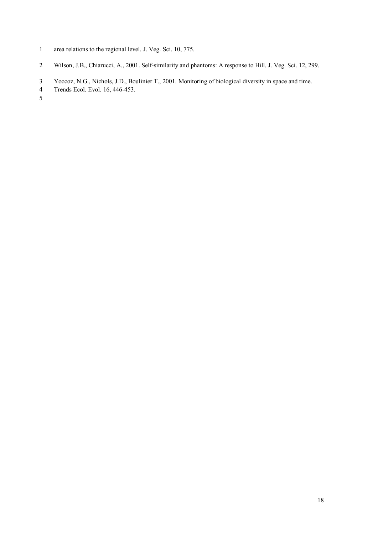- area relations to the regional level. J. Veg. Sci. 10, 775.
- Wilson, J.B., Chiarucci, A., 2001. Self-similarity and phantoms: A response to Hill. J. Veg. Sci. 12, 299.
- Yoccoz, N.G., Nichols, J.D., Boulinier T., 2001. Monitoring of biological diversity in space and time.
- Trends Ecol. Evol. 16, 446-453.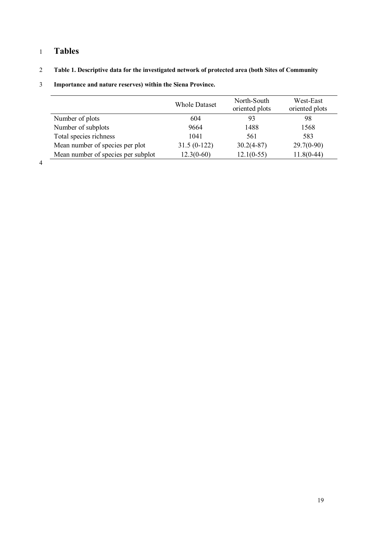## 1 **Tables**

## 2 **Table 1. Descriptive data for the investigated network of protected area (both Sites of Community**

|                                    | <b>Whole Dataset</b> | North-South<br>oriented plots | West-East<br>oriented plots |
|------------------------------------|----------------------|-------------------------------|-----------------------------|
| Number of plots                    | 604                  | 93                            | 98                          |
| Number of subplots                 | 9664                 | 1488                          | 1568                        |
| Total species richness             | 1041                 | 561                           | 583                         |
| Mean number of species per plot    | $31.5(0-122)$        | $30.2(4-87)$                  | $29.7(0-90)$                |
| Mean number of species per subplot | $12.3(0-60)$         | $12.1(0-55)$                  | $11.8(0-44)$                |

## 3 **Importance and nature reserves) within the Siena Province.**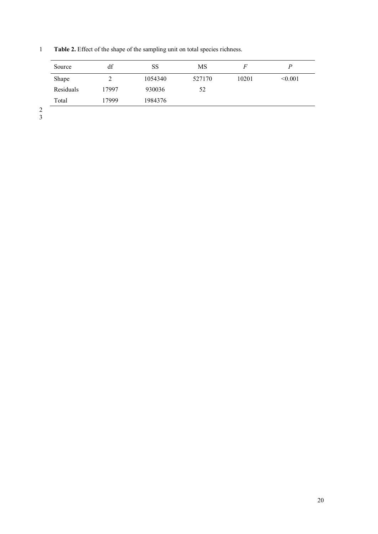Source df SS MS *F P* Shape 2 1054340 527170 10201 <0.001 Residuals 17997 930036 52 Total 17999 1984376

1 **Table 2.** Effect of the shape of the sampling unit on total species richness.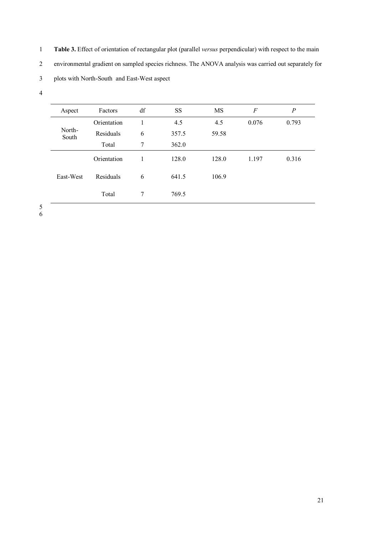1 **Table 3.** Effect of orientation of rectangular plot (parallel *versus* perpendicular) with respect to the main 2 environmental gradient on sampled species richness. The ANOVA analysis was carried out separately for

3 plots with North-South and East-West aspect

| Aspect          | Factors     | df | <b>SS</b> | MS    | F     | $\overline{P}$ |
|-----------------|-------------|----|-----------|-------|-------|----------------|
|                 | Orientation | 1  | 4.5       | 4.5   | 0.076 | 0.793          |
| North-<br>South | Residuals   | 6  | 357.5     | 59.58 |       |                |
|                 | Total       | 7  | 362.0     |       |       |                |
|                 | Orientation | 1  | 128.0     | 128.0 | 1.197 | 0.316          |
| East-West       | Residuals   | 6  | 641.5     | 106.9 |       |                |
|                 | Total       | 7  | 769.5     |       |       |                |

5 6  $\sim$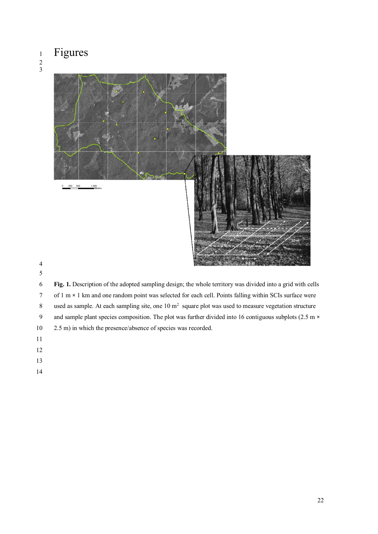# Figures

#### 





 **Fig. 1.** Description of the adopted sampling design; the whole territory was divided into a grid with cells of 1 m × 1 km and one random point was selected for each cell. Points falling within SCIs surface were 8 used as sample. At each sampling site, one  $10 \text{ m}^2$  square plot was used to measure vegetation structure 9 and sample plant species composition. The plot was further divided into 16 contiguous subplots (2.5 m  $\times$ 2.5 m) in which the presence/absence of species was recorded.

- 
- 
- 
-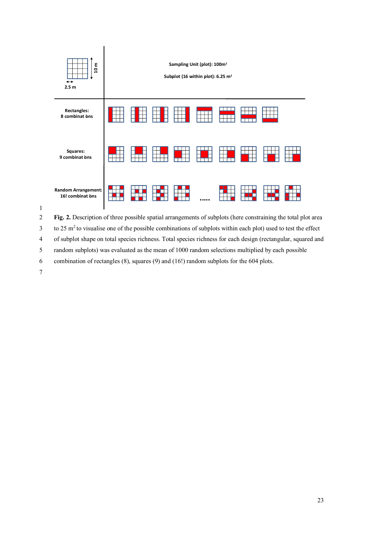

2 **Fig. 2.** Description of three possible spatial arrangements of subplots (here constraining the total plot area

 $3$  to 25 m<sup>2</sup> to visualise one of the possible combinations of subplots within each plot) used to test the effect

4 of subplot shape on total species richness. Total species richness for each design (rectangular, squared and

5 random subplots) was evaluated as the mean of 1000 random selections multiplied by each possible

6 combination of rectangles (8), squares (9) and (16!) random subplots for the 604 plots.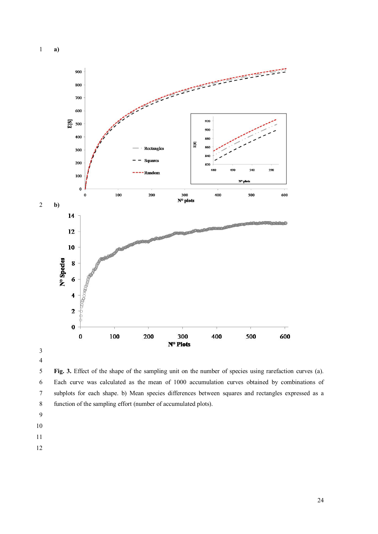



 **Fig. 3.** Effect of the shape of the sampling unit on the number of species using rarefaction curves (a). Each curve was calculated as the mean of 1000 accumulation curves obtained by combinations of subplots for each shape. b) Mean species differences between squares and rectangles expressed as a function of the sampling effort (number of accumulated plots).

- 
- 
-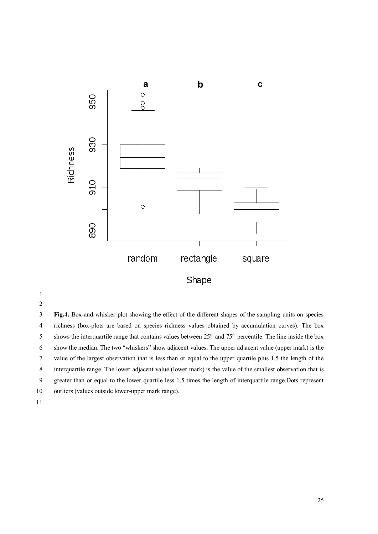

 **Fig.4.** Box-and-whisker plot showing the effect of the different shapes of the sampling units on species richness (box-plots are based on species richness values obtained by accumulation curves). The box 5 shows the interquartile range that contains values between  $25<sup>th</sup>$  and  $75<sup>th</sup>$  percentile. The line inside the box show the median. The two "whiskers" show adjacent values. The upper adjacent value (upper mark) is the value of the largest observation that is less than or equal to the upper quartile plus 1.5 the length of the interquartile range. The lower adjacent value (lower mark) is the value of the smallest observation that is greater than or equal to the lower quartile less 1.5 times the length of interquartile range.Dots represent outliers (values outside lower-upper mark range).